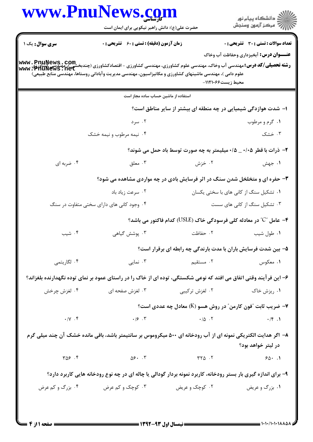|                        | <b>www.PnuNews.co</b><br>حضرت علی(ع): دانش راهبر نیکویی برای ایمان است                                                                                                                                                                                                          |                                                                                                                             | ≦ دانشڪاه پيام نور<br>ر∕ = مرڪز آزمون وسنڊش   |
|------------------------|---------------------------------------------------------------------------------------------------------------------------------------------------------------------------------------------------------------------------------------------------------------------------------|-----------------------------------------------------------------------------------------------------------------------------|-----------------------------------------------|
| <b>سری سوال :</b> یک ۱ | زمان آزمون (دقیقه) : تستی : 60 ٪ تشریحی : 0                                                                                                                                                                                                                                     |                                                                                                                             | <b>تعداد سوالات : تستی : 30 ٪ تشریحی : 0</b>  |
|                        | <b>رشته تحصیلی/کد درس: مهندسی آب وخاک، مهندسی علوم کشاورزی، مهندسی کشاورزی - اقتصادکشاورزی (چندبخشی)، مهندسی کشاورزی<br/>www . PhuNews . net</b><br>علوم دامی )، مهندسی ماشینهای کشاورزی و مکانیزاسیون، مهندسی مدیریت وآبادانی روستاها، مهندسی منابع طبیعی)                     | محيط زيست112106-                                                                                                            | <b>عنـــوان درس:</b> آبخیزداری وحفاظت آب وخاک |
|                        | استفاده از ماشین حساب ساده مجاز است                                                                                                                                                                                                                                             |                                                                                                                             |                                               |
|                        |                                                                                                                                                                                                                                                                                 | ۱– شدت هوازدگی شیمیایی در چه منطقه ای بیشتر از سایر مناطق است؟                                                              |                                               |
|                        | ۰۲ سرد                                                                                                                                                                                                                                                                          |                                                                                                                             | ۰۱ گرم و مرطوب                                |
|                        | ۰۴ نیمه مرطوب و نیمه خشک                                                                                                                                                                                                                                                        |                                                                                                                             | ۰۳ خشک                                        |
|                        |                                                                                                                                                                                                                                                                                 | ۲- ذرات با قطر ۰/۰۵ _ ۰/۵ میلیمتر به چه صورت توسط باد حمل می شوند؟                                                          |                                               |
| ۰۴ ضربه ای             | ۰۳ معلق                                                                                                                                                                                                                                                                         | ۰۲ خزش                                                                                                                      | ۰۱ جهش                                        |
|                        |                                                                                                                                                                                                                                                                                 | ۳- حفره ای و متخلخل شدن سنگ در اثر فرسایش بادی در چه مواردی مشاهده می شود؟                                                  |                                               |
|                        | ۰۲ سرعت زیاد باد                                                                                                                                                                                                                                                                |                                                                                                                             | ۰۱ تشکیل سنگ از کانی های با سختی یکسان        |
|                        | ۰۴ وجود کانی های دارای سختی متفاوت در سنگ                                                                                                                                                                                                                                       |                                                                                                                             | ۰۳ تشکیل سنگ از کانی های سست                  |
|                        |                                                                                                                                                                                                                                                                                 | ۴– عامل "C" در معادله کلی فرسودگی خاک (USLE) کدام فاکتور می باشد؟                                                           |                                               |
| ۰۴ شیب                 | ۰۳ پوشش گیاهی                                                                                                                                                                                                                                                                   | ۲. حفاظت                                                                                                                    | ۰۱ طول شيب                                    |
|                        |                                                                                                                                                                                                                                                                                 | ۵– بین شدت فرسایش باران با مدت بارندگی چه رابطه ای برقرار است؟                                                              |                                               |
| ۰۴ لگاریتمی            | ۰۳ نمایی                                                                                                                                                                                                                                                                        | ۰۱ معکوس معنی استقیم استقیم استقیم استقیم به معکوس معرض معرض استقا <del>ره میکویس معرض استقامه به معرض اس</del> تقاره استقا |                                               |
|                        | ۶– این فرآیند وقتی اتفاق می افتد که نوعی شکستگی، توده ای از خاک را در راستای عمود بر نمای توده نگهدارنده بلغزاند؟                                                                                                                                                               |                                                                                                                             |                                               |
| ۰۴ لغزش چرخش           | ۰۳ لغزش صفحه ای                                                                                                                                                                                                                                                                 | ۰۲ لغزش ترکیبی                                                                                                              | ۰۱ ریزش خاک                                   |
|                        |                                                                                                                                                                                                                                                                                 | خریب ثابت آفون کارمن ؒ در روش هسو (K) معادل چه عددی است؟ <b>۷</b>                                                           |                                               |
| $\cdot/\gamma$ . ۴     |                                                                                                                                                                                                                                                                                 |                                                                                                                             |                                               |
|                        | ۸– اگر هدایت الکتریکی نمونه ای از آب رودخانه ای ۵۰۰ میکروموس بر سانتیمتر باشد، باقی مانده خشک آن چند میلی گرم                                                                                                                                                                   |                                                                                                                             | در ليتر خواهد بود؟                            |
| $T \Delta S$ .         | $\Delta \xi$ . $\zeta$ (1) $\zeta$ (1) $\zeta$ (1) $\zeta$ (2) $\zeta$ (3) $\zeta$ (3) $\zeta$ (4) $\zeta$ (4) $\zeta$ (4) $\zeta$ (4) $\zeta$ (4) $\zeta$ (4) $\zeta$ (4) $\zeta$ (4) $\zeta$ (4) $\zeta$ (4) $\zeta$ (4) $\zeta$ (4) $\zeta$ (4) $\zeta$ (4) $\zeta$ (4) $\z$ |                                                                                                                             |                                               |
|                        | ۹- برای اندازه گیری بار بستر رودخانه، کاربرد نمونه بردار گودالی یا چاله ای در چه نوع رودخانه هایی کاربرد دارد؟                                                                                                                                                                  |                                                                                                                             |                                               |
| ۰۴ بزرگ و کم عرض       | ۰۲ کوچک و عریض <b>سلم سلم ۲۰۰ کوچک و کم عرض</b>                                                                                                                                                                                                                                 |                                                                                                                             | ۰۱ بزرگ و عریض                                |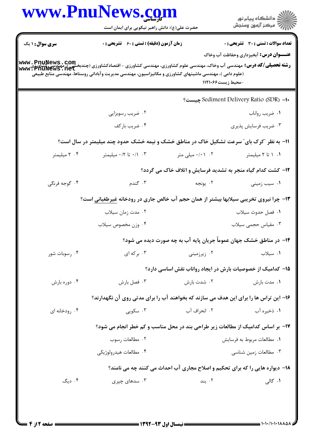|                        | حضرت علی(ع): دانش راهبر نیکویی برای ایمان است                                                                                                                                                                                                              |                                                                                     | ڪ دانشڪاه پيام نور<br>ر∕⊂ مرڪز آزمون وسنڊش    |
|------------------------|------------------------------------------------------------------------------------------------------------------------------------------------------------------------------------------------------------------------------------------------------------|-------------------------------------------------------------------------------------|-----------------------------------------------|
| <b>سری سوال : ۱ یک</b> | <b>زمان آزمون (دقیقه) : تستی : 60 ٪ تشریحی : 0</b>                                                                                                                                                                                                         |                                                                                     | <b>تعداد سوالات : تستی : 30 ٪ تشریحی : 0</b>  |
|                        | <b>رشته تحصیلی/کد درس:</b> مهندسی آب وخاک، مهندسی علوم کشاورزی، مهندسی کشاورزی - اقتصادکشاورزی (چندبخشی)، مهندسی کشاورزی<br>Www • PhuNews • net<br>(علوم دامی )، مهندسی ماشینهای کشاورزی و مکانیزاسیون، مهندسی مدیریت وآبادانی روستاها، مهندسی منابع طبیعی | -محيط زيست%۱۱۲۱۰                                                                    | <b>عنـــوان درس:</b> آبخیزداری وحفاظت آب وخاک |
|                        |                                                                                                                                                                                                                                                            |                                                                                     | ·Sediment Delivery Ratio (SDR) −1 چيست؟       |
|                        | ۰۲ ضریب رسوبزایی                                                                                                                                                                                                                                           |                                                                                     | ٠١ ضريب رواناب                                |
|                        | ۰۴ ضریب بارکف                                                                                                                                                                                                                                              |                                                                                     | ۰۳ ضریب فرسایش پذیری                          |
|                        | ۱۱- به نظر "کرک بای ّ سرعت تشکیل خاک در مناطق خشک و نیمه خشک حدود چند میلیمتر در سال است؟                                                                                                                                                                  |                                                                                     |                                               |
| ۰۴ میلیمتر             | ۰/۲ تا ۰/۲ میلیمتر                                                                                                                                                                                                                                         | ۰/۰۱ ۰/۰۱ میلی متر                                                                  | ۰۱ ۱ تا ۲ میلیمتر                             |
|                        |                                                                                                                                                                                                                                                            | ۱۲- کشت کدام گیاه منجر به تشدید فرسایش و اتلاف خاک می گردد؟                         |                                               |
| ۰۴ گوجه فرنگی          | ۰۳ گندم                                                                                                                                                                                                                                                    | ۰۲ يونجه                                                                            | ۰۱ سیب زمینی                                  |
|                        | ۱۳- چرا نیروی تخریبی سیلابها بیشتر از همان حجم آب خالص جاری در رودخانه <u>غیرطغیانی</u> است؟                                                                                                                                                               |                                                                                     |                                               |
|                        | ۰۲ مدت زمان سیلاب                                                                                                                                                                                                                                          |                                                                                     | ٠١ فصل حدوث سيلاب                             |
|                        | ۰۴ وزن مخصوص سيلاب                                                                                                                                                                                                                                         |                                                                                     | ۰۳ مقیاس حجمی سیلاب                           |
|                        |                                                                                                                                                                                                                                                            | ۱۴– در مناطق خشک جهان عموماً جریان پایه آب به چه صورت دیده می شود؟                  |                                               |
| ۰۴ رسوبات شور          | ۰۳ بر که ای                                                                                                                                                                                                                                                | ۰۲ زیرزمینی                                                                         | ۰۱ سیلاب                                      |
|                        |                                                                                                                                                                                                                                                            | ۱۵– کدامیک از خصوصیات بارش در ایجاد رواناب نقش اساسی دارد؟                          |                                               |
| ۰۴ دوره بارش           | ۰۳ فصل بارش                                                                                                                                                                                                                                                | ۰۲ شدت بارش                                                                         | ۰۱ مدت بارش                                   |
|                        | ۱۶– این تراس ها را برای این هدف می سازند که بخواهند آب را برای مدتی روی آن نگهدارند؟                                                                                                                                                                       |                                                                                     |                                               |
| ۰۴ رودخانه ای          | ۰۳ سکویی                                                                                                                                                                                                                                                   | ۰۲ انحراف آب                                                                        | ۰۱ ذخیره آب                                   |
|                        | ۱۷- بر اساس کدامیک از مطالعات زیر طراحی بند در محل مناسب و کم خطر انجام می شود؟                                                                                                                                                                            |                                                                                     |                                               |
|                        | ٠٢ مطالعات رسوب                                                                                                                                                                                                                                            |                                                                                     | ٠١. مطالعات مربوط به فرسايش                   |
|                        | ۰۴ مطالعات هيدرولوژيکي                                                                                                                                                                                                                                     |                                                                                     | ۰۳ مطالعات زمین شناسی                         |
|                        |                                                                                                                                                                                                                                                            | <b>۱۸- دیواره هایی را که برای تحکیم و اصلاح مجاری آب احداث می کنند چه می نامند؟</b> |                                               |
| ۰۴ دیگ                 | ۰۳ سدهای چپری                                                                                                                                                                                                                                              | ۰۲ بند                                                                              | ۰۱ گالی                                       |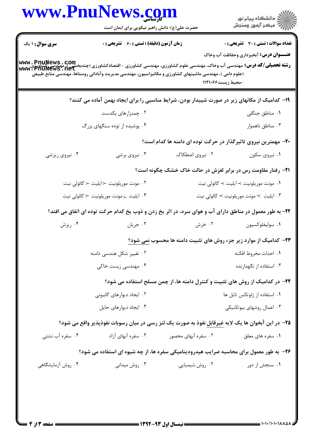|                        | www.PnuNews.com<br>حضرت علی(ع): دانش راهبر نیکویی برای ایمان است                                                                                                                                                                                                                                                 |                     | ِ<br>∭ دانشڪاه پيام نور<br>∭ مرڪز آزمون وسنڊش                                                 |
|------------------------|------------------------------------------------------------------------------------------------------------------------------------------------------------------------------------------------------------------------------------------------------------------------------------------------------------------|---------------------|-----------------------------------------------------------------------------------------------|
| <b>سری سوال : ۱ یک</b> | <b>زمان آزمون (دقیقه) : تستی : 60 ٪ تشریحی : 0</b><br><b>رشته تحصیلی/کد درس:</b> مهندسی آب وخاک، مهندسی علوم کشاورزی، مهندسی کشاورزی - اقتصادکشاورزی (چندبخشی )، مهندسی کشاورز<br>www • PhuNews • net<br>(علوم دامی )، مهندسی ماشینهای کشاورزی و مکانیزاسیون، مهندسی مدیریت وآبادانی روستاها، مهندسی منابع طبیعی | -محيط زيست%۱۱۲۱۰    | <b>تعداد سوالات : تستی : 30 ٪ تشریحی : 0</b><br><b>عنـــوان درس:</b> آبخیزداری وحفاظت آب وخاک |
|                        | ۱۹- کدامیک از مکانهای زیر در صورت شیبدار بودن، شرایط مناسبی را برای ایجاد بهمن آماده می کنند؟                                                                                                                                                                                                                    |                     |                                                                                               |
|                        | ۰۲ چمنزارهای یکدست                                                                                                                                                                                                                                                                                               |                     | ٠١ مناطق جنگلي                                                                                |
|                        | ۰۴ پوشیده از توده سنگهای بزرگ                                                                                                                                                                                                                                                                                    |                     | ۰۳ مناطق ناهموار                                                                              |
|                        |                                                                                                                                                                                                                                                                                                                  |                     | ۲۰- مهمترین نیروی تاثیرگذار در حرکت توده ای دامنه ها کدام است؟                                |
| ۰۴ نیروی ریزشی         | ۰۳ نیروی برشی                                                                                                                                                                                                                                                                                                    | ۰۲ نیروی اصطکاک     | ۰۱ نیروی سکون                                                                                 |
|                        |                                                                                                                                                                                                                                                                                                                  |                     | <b>۲۱</b> - رفتار مقاومت رس در برابر لغزش در حالت خاک خشک چگونه است؟                          |
|                        | ۲. مونت موریلونیت ≺ایلیت ≺ کائولی نیت                                                                                                                                                                                                                                                                            |                     | ۰۱ مونت موريلونيت ≻ايليت ≻ كائولى نيت                                                         |
|                        | ۰۴ ایلیت <sub>ح</sub> مونت موریلونیت حکائولی نیت                                                                                                                                                                                                                                                                 |                     | ۰۳ ایلیت  > مونت موریلونیت > کائولی نیت                                                       |
|                        | ۲۲- به طور معمول در مناطق دارای آب و هوای سرد، در اثر یخ زدن و ذوب یخ کدام حرکت توده ای اتفاق می افتد؟                                                                                                                                                                                                           |                     |                                                                                               |
| ۰۴ ریزش                | ۰۳ جريان                                                                                                                                                                                                                                                                                                         | ۰۲ خزش              | ٠١ سوليفلوكسيون                                                                               |
|                        |                                                                                                                                                                                                                                                                                                                  |                     | <b>۲۳</b> - کدامیک از موارد زیر جزء روش های تثبیت دامنه ها محسوب <u>نمی شود؟</u>              |
|                        | ۰۲ تغییر شکل هندسی دامنه                                                                                                                                                                                                                                                                                         |                     | ٠١. احداث مخروط افكنه                                                                         |
|                        | ۰۴ مهندسی زیست خاکی                                                                                                                                                                                                                                                                                              |                     | ۰۳ استفاده از نگهدارنده                                                                       |
|                        |                                                                                                                                                                                                                                                                                                                  |                     | <b>3۴</b> - در کدامیک از روش های تثبیت و کنترل دامنه ها، از چمن مسلح استفاده می شود؟          |
|                        | ۰۲ ایجاد دیوارهای گابیونی                                                                                                                                                                                                                                                                                        |                     | ٠١ استفاده از ژئوتکس تايل ها                                                                  |
|                        | ۰۴ ایجاد دیوارهای حایل                                                                                                                                                                                                                                                                                           |                     | ۰۳ اعمال روشهای بیوتکنیکی                                                                     |
|                        | ۲۵– در این آبخوان ها یک لایه غیرقابل نفوذ به صورت یک لنز رسی در میان رسوبات نفوذپذیر واقع می شود؟                                                                                                                                                                                                                |                     |                                                                                               |
| ۰۴ سفره آب نشتی        | ۰۳ سفره آبهای آزاد                                                                                                                                                                                                                                                                                               | ۰۲ سفره آبهای محصور | ۰۱ سفره های معلق                                                                              |
|                        | ۲۶- به طور معمول برای محاسبه ضرایب هیدرودینامیکی سفره ها، از چه شیوه ای استفاده می شود؟                                                                                                                                                                                                                          |                     |                                                                                               |
| ۰۴ روش آزمایشگاهی      | ۰۳ روش میدانی                                                                                                                                                                                                                                                                                                    | ۰۲ روش شیمیایی      | ۰۱ سنجش از دور                                                                                |
|                        |                                                                                                                                                                                                                                                                                                                  |                     |                                                                                               |